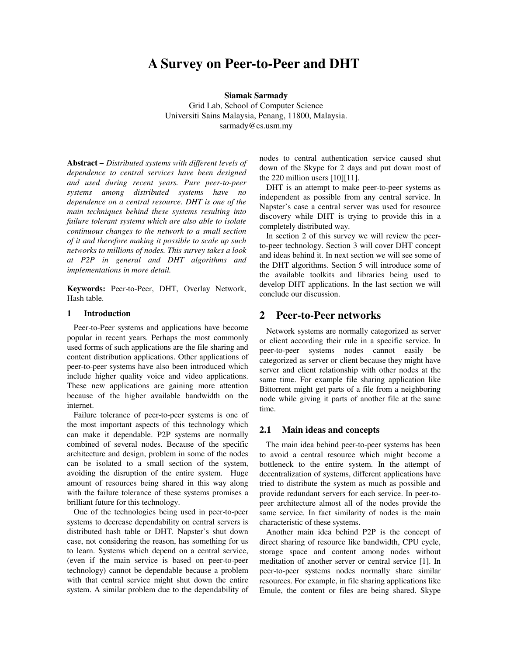# **A Survey on Peer-to-Peer and DHT**

**Siamak Sarmady** 

Grid Lab, School of Computer Science Universiti Sains Malaysia, Penang, 11800, Malaysia. sarmady@cs.usm.my

**Abstract** *– Distributed systems with different levels of dependence to central services have been designed and used during recent years. Pure peer-to-peer systems among distributed systems have no dependence on a central resource. DHT is one of the main techniques behind these systems resulting into failure tolerant systems which are also able to isolate continuous changes to the network to a small section of it and therefore making it possible to scale up such networks to millions of nodes. This survey takes a look at P2P in general and DHT algorithms and implementations in more detail.* 

**Keywords:** Peer-to-Peer, DHT, Overlay Network, Hash table.

#### **1 Introduction**

 Peer-to-Peer systems and applications have become popular in recent years. Perhaps the most commonly used forms of such applications are the file sharing and content distribution applications. Other applications of peer-to-peer systems have also been introduced which include higher quality voice and video applications. These new applications are gaining more attention because of the higher available bandwidth on the internet.

 Failure tolerance of peer-to-peer systems is one of the most important aspects of this technology which can make it dependable. P2P systems are normally combined of several nodes. Because of the specific architecture and design, problem in some of the nodes can be isolated to a small section of the system, avoiding the disruption of the entire system. Huge amount of resources being shared in this way along with the failure tolerance of these systems promises a brilliant future for this technology.

 One of the technologies being used in peer-to-peer systems to decrease dependability on central servers is distributed hash table or DHT. Napster's shut down case, not considering the reason, has something for us to learn. Systems which depend on a central service, (even if the main service is based on peer-to-peer technology) cannot be dependable because a problem with that central service might shut down the entire system. A similar problem due to the dependability of nodes to central authentication service caused shut down of the Skype for 2 days and put down most of the 220 million users [10][11].

 DHT is an attempt to make peer-to-peer systems as independent as possible from any central service. In Napster's case a central server was used for resource discovery while DHT is trying to provide this in a completely distributed way.

 In section 2 of this survey we will review the peerto-peer technology. Section 3 will cover DHT concept and ideas behind it. In next section we will see some of the DHT algorithms. Section 5 will introduce some of the available toolkits and libraries being used to develop DHT applications. In the last section we will conclude our discussion.

# **2 Peer-to-Peer networks**

Network systems are normally categorized as server or client according their rule in a specific service. In peer-to-peer systems nodes cannot easily be categorized as server or client because they might have server and client relationship with other nodes at the same time. For example file sharing application like Bittorrent might get parts of a file from a neighboring node while giving it parts of another file at the same time.

#### **2.1 Main ideas and concepts**

 The main idea behind peer-to-peer systems has been to avoid a central resource which might become a bottleneck to the entire system. In the attempt of decentralization of systems, different applications have tried to distribute the system as much as possible and provide redundant servers for each service. In peer-topeer architecture almost all of the nodes provide the same service. In fact similarity of nodes is the main characteristic of these systems.

Another main idea behind P2P is the concept of direct sharing of resource like bandwidth, CPU cycle, storage space and content among nodes without meditation of another server or central service [1]. In peer-to-peer systems nodes normally share similar resources. For example, in file sharing applications like Emule, the content or files are being shared. Skype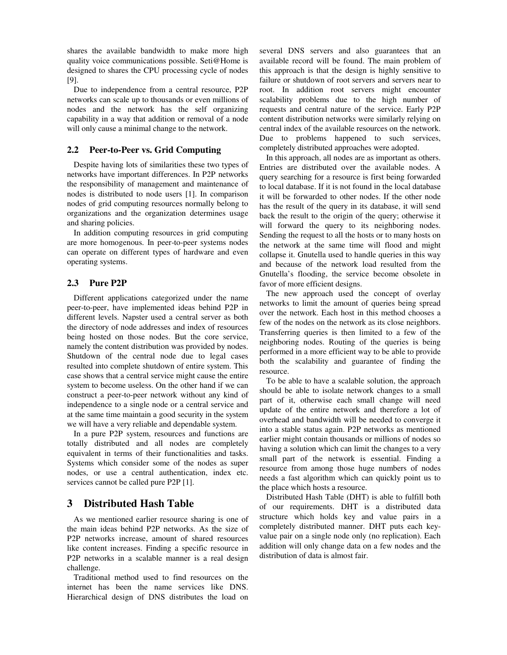shares the available bandwidth to make more high quality voice communications possible. Seti@Home is designed to shares the CPU processing cycle of nodes [9].

Due to independence from a central resource, P2P networks can scale up to thousands or even millions of nodes and the network has the self organizing capability in a way that addition or removal of a node will only cause a minimal change to the network.

## **2.2 Peer-to-Peer vs. Grid Computing**

Despite having lots of similarities these two types of networks have important differences. In P2P networks the responsibility of management and maintenance of nodes is distributed to node users [1]. In comparison nodes of grid computing resources normally belong to organizations and the organization determines usage and sharing policies.

 In addition computing resources in grid computing are more homogenous. In peer-to-peer systems nodes can operate on different types of hardware and even operating systems.

#### **2.3 Pure P2P**

Different applications categorized under the name peer-to-peer, have implemented ideas behind P2P in different levels. Napster used a central server as both the directory of node addresses and index of resources being hosted on those nodes. But the core service, namely the content distribution was provided by nodes. Shutdown of the central node due to legal cases resulted into complete shutdown of entire system. This case shows that a central service might cause the entire system to become useless. On the other hand if we can construct a peer-to-peer network without any kind of independence to a single node or a central service and at the same time maintain a good security in the system we will have a very reliable and dependable system.

In a pure P2P system, resources and functions are totally distributed and all nodes are completely equivalent in terms of their functionalities and tasks. Systems which consider some of the nodes as super nodes, or use a central authentication, index etc. services cannot be called pure P2P [1].

# **3 Distributed Hash Table**

As we mentioned earlier resource sharing is one of the main ideas behind P2P networks. As the size of P2P networks increase, amount of shared resources like content increases. Finding a specific resource in P2P networks in a scalable manner is a real design challenge.

Traditional method used to find resources on the internet has been the name services like DNS. Hierarchical design of DNS distributes the load on several DNS servers and also guarantees that an available record will be found. The main problem of this approach is that the design is highly sensitive to failure or shutdown of root servers and servers near to root. In addition root servers might encounter scalability problems due to the high number of requests and central nature of the service. Early P2P content distribution networks were similarly relying on central index of the available resources on the network. Due to problems happened to such services, completely distributed approaches were adopted.

In this approach, all nodes are as important as others. Entries are distributed over the available nodes. A query searching for a resource is first being forwarded to local database. If it is not found in the local database it will be forwarded to other nodes. If the other node has the result of the query in its database, it will send back the result to the origin of the query; otherwise it will forward the query to its neighboring nodes. Sending the request to all the hosts or to many hosts on the network at the same time will flood and might collapse it. Gnutella used to handle queries in this way and because of the network load resulted from the Gnutella's flooding, the service become obsolete in favor of more efficient designs.

The new approach used the concept of overlay networks to limit the amount of queries being spread over the network. Each host in this method chooses a few of the nodes on the network as its close neighbors. Transferring queries is then limited to a few of the neighboring nodes. Routing of the queries is being performed in a more efficient way to be able to provide both the scalability and guarantee of finding the resource.

To be able to have a scalable solution, the approach should be able to isolate network changes to a small part of it, otherwise each small change will need update of the entire network and therefore a lot of overhead and bandwidth will be needed to converge it into a stable status again. P2P networks as mentioned earlier might contain thousands or millions of nodes so having a solution which can limit the changes to a very small part of the network is essential. Finding a resource from among those huge numbers of nodes needs a fast algorithm which can quickly point us to the place which hosts a resource.

Distributed Hash Table (DHT) is able to fulfill both of our requirements. DHT is a distributed data structure which holds key and value pairs in a completely distributed manner. DHT puts each keyvalue pair on a single node only (no replication). Each addition will only change data on a few nodes and the distribution of data is almost fair.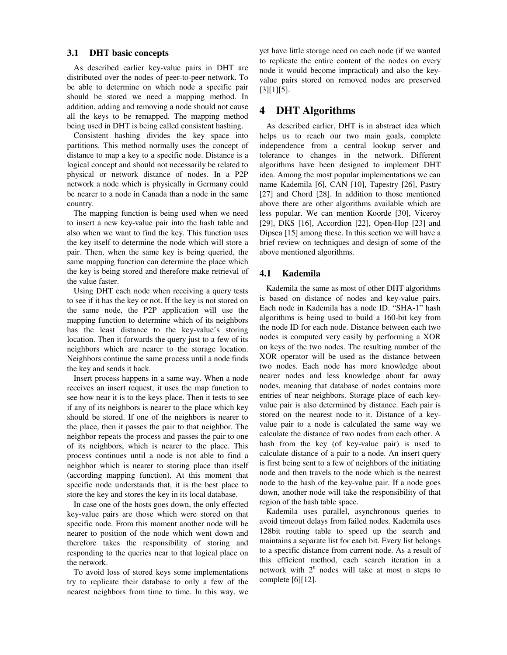## **3.1 DHT basic concepts**

As described earlier key-value pairs in DHT are distributed over the nodes of peer-to-peer network. To be able to determine on which node a specific pair should be stored we need a mapping method. In addition, adding and removing a node should not cause all the keys to be remapped. The mapping method being used in DHT is being called consistent hashing.

 Consistent hashing divides the key space into partitions. This method normally uses the concept of distance to map a key to a specific node. Distance is a logical concept and should not necessarily be related to physical or network distance of nodes. In a P2P network a node which is physically in Germany could be nearer to a node in Canada than a node in the same country.

 The mapping function is being used when we need to insert a new key-value pair into the hash table and also when we want to find the key. This function uses the key itself to determine the node which will store a pair. Then, when the same key is being queried, the same mapping function can determine the place which the key is being stored and therefore make retrieval of the value faster.

Using DHT each node when receiving a query tests to see if it has the key or not. If the key is not stored on the same node, the P2P application will use the mapping function to determine which of its neighbors has the least distance to the key-value's storing location. Then it forwards the query just to a few of its neighbors which are nearer to the storage location. Neighbors continue the same process until a node finds the key and sends it back.

 Insert process happens in a same way. When a node receives an insert request, it uses the map function to see how near it is to the keys place. Then it tests to see if any of its neighbors is nearer to the place which key should be stored. If one of the neighbors is nearer to the place, then it passes the pair to that neighbor. The neighbor repeats the process and passes the pair to one of its neighbors, which is nearer to the place. This process continues until a node is not able to find a neighbor which is nearer to storing place than itself (according mapping function). At this moment that specific node understands that, it is the best place to store the key and stores the key in its local database.

 In case one of the hosts goes down, the only effected key-value pairs are those which were stored on that specific node. From this moment another node will be nearer to position of the node which went down and therefore takes the responsibility of storing and responding to the queries near to that logical place on the network.

 To avoid loss of stored keys some implementations try to replicate their database to only a few of the nearest neighbors from time to time. In this way, we yet have little storage need on each node (if we wanted to replicate the entire content of the nodes on every node it would become impractical) and also the keyvalue pairs stored on removed nodes are preserved [3][1][5].

## **4 DHT Algorithms**

As described earlier, DHT is in abstract idea which helps us to reach our two main goals, complete independence from a central lookup server and tolerance to changes in the network. Different algorithms have been designed to implement DHT idea. Among the most popular implementations we can name Kademila [6], CAN [10], Tapestry [26], Pastry [27] and Chord [28]. In addition to those mentioned above there are other algorithms available which are less popular. We can mention Koorde [30], Viceroy [29], DKS [16], Accordion [22], Open-Hop [23] and Dipsea [15] among these. In this section we will have a brief review on techniques and design of some of the above mentioned algorithms.

#### **4.1 Kademila**

Kademila the same as most of other DHT algorithms is based on distance of nodes and key-value pairs. Each node in Kademila has a node ID. "SHA-1" hash algorithms is being used to build a 160-bit key from the node ID for each node. Distance between each two nodes is computed very easily by performing a XOR on keys of the two nodes. The resulting number of the XOR operator will be used as the distance between two nodes. Each node has more knowledge about nearer nodes and less knowledge about far away nodes, meaning that database of nodes contains more entries of near neighbors. Storage place of each keyvalue pair is also determined by distance. Each pair is stored on the nearest node to it. Distance of a keyvalue pair to a node is calculated the same way we calculate the distance of two nodes from each other. A hash from the key (of key-value pair) is used to calculate distance of a pair to a node. An insert query is first being sent to a few of neighbors of the initiating node and then travels to the node which is the nearest node to the hash of the key-value pair. If a node goes down, another node will take the responsibility of that region of the hash table space.

Kademila uses parallel, asynchronous queries to avoid timeout delays from failed nodes. Kademila uses 128bit routing table to speed up the search and maintains a separate list for each bit. Every list belongs to a specific distance from current node. As a result of this efficient method, each search iteration in a network with  $2<sup>n</sup>$  nodes will take at most n steps to complete [6][12].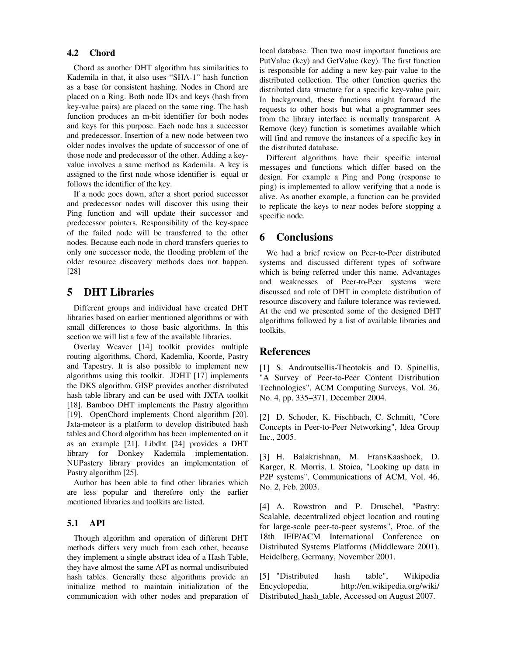#### **4.2 Chord**

Chord as another DHT algorithm has similarities to Kademila in that, it also uses "SHA-1" hash function as a base for consistent hashing. Nodes in Chord are placed on a Ring. Both node IDs and keys (hash from key-value pairs) are placed on the same ring. The hash function produces an m-bit identifier for both nodes and keys for this purpose. Each node has a successor and predecessor. Insertion of a new node between two older nodes involves the update of successor of one of those node and predecessor of the other. Adding a keyvalue involves a same method as Kademila. A key is assigned to the first node whose identifier is equal or follows the identifier of the key.

If a node goes down, after a short period successor and predecessor nodes will discover this using their Ping function and will update their successor and predecessor pointers. Responsibility of the key-space of the failed node will be transferred to the other nodes. Because each node in chord transfers queries to only one successor node, the flooding problem of the older resource discovery methods does not happen. [28]

# **5 DHT Libraries**

Different groups and individual have created DHT libraries based on earlier mentioned algorithms or with small differences to those basic algorithms. In this section we will list a few of the available libraries.

Overlay Weaver [14] toolkit provides multiple routing algorithms, Chord, Kademlia, Koorde, Pastry and Tapestry. It is also possible to implement new algorithms using this toolkit. JDHT [17] implements the DKS algorithm. GISP provides another distributed hash table library and can be used with JXTA toolkit [18]. Bamboo DHT implements the Pastry algorithm [19]. OpenChord implements Chord algorithm [20]. Jxta-meteor is a platform to develop distributed hash tables and Chord algorithm has been implemented on it as an example [21]. Libdht [24] provides a DHT library for Donkey Kademila implementation. NUPastery library provides an implementation of Pastry algorithm [25].

Author has been able to find other libraries which are less popular and therefore only the earlier mentioned libraries and toolkits are listed.

### **5.1 API**

Though algorithm and operation of different DHT methods differs very much from each other, because they implement a single abstract idea of a Hash Table, they have almost the same API as normal undistributed hash tables. Generally these algorithms provide an initialize method to maintain initialization of the communication with other nodes and preparation of local database. Then two most important functions are PutValue (key) and GetValue (key). The first function is responsible for adding a new key-pair value to the distributed collection. The other function queries the distributed data structure for a specific key-value pair. In background, these functions might forward the requests to other hosts but what a programmer sees from the library interface is normally transparent. A Remove (key) function is sometimes available which will find and remove the instances of a specific key in the distributed database.

Different algorithms have their specific internal messages and functions which differ based on the design. For example a Ping and Pong (response to ping) is implemented to allow verifying that a node is alive. As another example, a function can be provided to replicate the keys to near nodes before stopping a specific node.

# **6 Conclusions**

 We had a brief review on Peer-to-Peer distributed systems and discussed different types of software which is being referred under this name. Advantages and weaknesses of Peer-to-Peer systems were discussed and role of DHT in complete distribution of resource discovery and failure tolerance was reviewed. At the end we presented some of the designed DHT algorithms followed by a list of available libraries and toolkits.

#### **References**

[1] S. Androutsellis-Theotokis and D. Spinellis, "A Survey of Peer-to-Peer Content Distribution Technologies", ACM Computing Surveys, Vol. 36, No. 4, pp. 335–371, December 2004.

[2] D. Schoder, K. Fischbach, C. Schmitt, "Core Concepts in Peer-to-Peer Networking", Idea Group Inc., 2005.

[3] H. Balakrishnan, M. FransKaashoek, D. Karger, R. Morris, I. Stoica, "Looking up data in P2P systems", Communications of ACM, Vol. 46, No. 2, Feb. 2003.

[4] A. Rowstron and P. Druschel, "Pastry: Scalable, decentralized object location and routing for large-scale peer-to-peer systems", Proc. of the 18th IFIP/ACM International Conference on Distributed Systems Platforms (Middleware 2001). Heidelberg, Germany, November 2001.

[5] "Distributed hash table", Wikipedia Encyclopedia, http://en.wikipedia.org/wiki/ Distributed\_hash\_table, Accessed on August 2007.